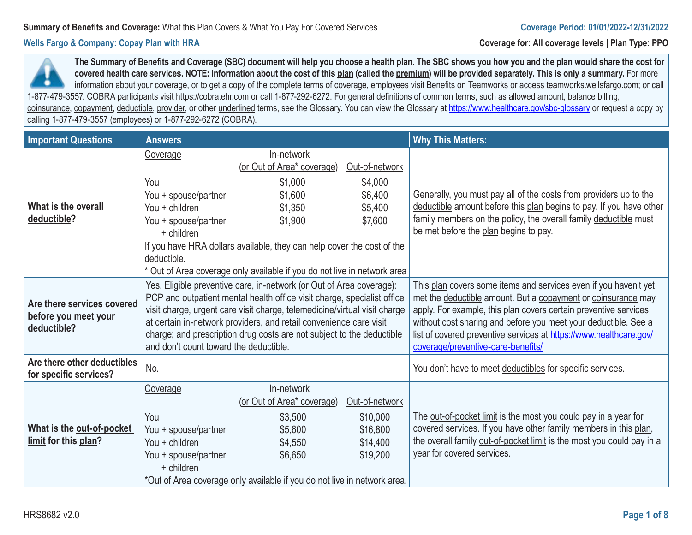**Wells Fargo & Company: Copay Plan with HRA Coverage for: All coverage levels | Plan Type: PPO**

**The Summary of Benefits and Coverage (SBC) document will help you choose a health plan. The SBC shows you how you and the plan would share the cost for**  covered health care services. NOTE: Information about the cost of this plan (called the premium) will be provided separately. This is only a summary. For more information about your coverage, or to get a copy of the complete terms of coverage, employees visit Benefits on Teamworks or access teamworks.wellsfargo.com; or call 1-877-479-3557. COBRA participants visit https://cobra.ehr.com or call 1-877-292-6272. For general definitions of common terms, such as allowed amount, balance billing, coinsurance, copayment, deductible, provider, or other underlined terms, see the Glossary. You can view the Glossary at https://www.healthcare.gov/sbc-glossary or request a copy by calling 1-877-479-3557 (employees) or 1-877-292-6272 (COBRA).

| <b>Important Questions</b>                                        | <b>Answers</b>                                                                                                                                                                                                                                                                                                                                                                                                        |                                                                                      |                                                                | <b>Why This Matters:</b>                                                                                                                                                                                                                                                                                                                                                             |
|-------------------------------------------------------------------|-----------------------------------------------------------------------------------------------------------------------------------------------------------------------------------------------------------------------------------------------------------------------------------------------------------------------------------------------------------------------------------------------------------------------|--------------------------------------------------------------------------------------|----------------------------------------------------------------|--------------------------------------------------------------------------------------------------------------------------------------------------------------------------------------------------------------------------------------------------------------------------------------------------------------------------------------------------------------------------------------|
| What is the overall<br>deductible?                                | Coverage<br>You<br>You + spouse/partner<br>You + children<br>You + spouse/partner<br>+ children<br>If you have HRA dollars available, they can help cover the cost of the<br>deductible.<br>* Out of Area coverage only available if you do not live in network area                                                                                                                                                  | In-network<br>(or Out of Area* coverage)<br>\$1,000<br>\$1,600<br>\$1,350<br>\$1,900 | Out-of-network<br>\$4,000<br>\$6,400<br>\$5,400<br>\$7,600     | Generally, you must pay all of the costs from providers up to the<br>deductible amount before this plan begins to pay. If you have other<br>family members on the policy, the overall family deductible must<br>be met before the plan begins to pay.                                                                                                                                |
| Are there services covered<br>before you meet your<br>deductible? | Yes. Eligible preventive care, in-network (or Out of Area coverage):<br>PCP and outpatient mental health office visit charge, specialist office<br>visit charge, urgent care visit charge, telemedicine/virtual visit charge<br>at certain in-network providers, and retail convenience care visit<br>charge; and prescription drug costs are not subject to the deductible<br>and don't count toward the deductible. |                                                                                      |                                                                | This plan covers some items and services even if you haven't yet<br>met the deductible amount. But a copayment or coinsurance may<br>apply. For example, this plan covers certain preventive services<br>without cost sharing and before you meet your deductible. See a<br>list of covered preventive services at https://www.healthcare.gov/<br>coverage/preventive-care-benefits/ |
| Are there other deductibles<br>for specific services?             | No.                                                                                                                                                                                                                                                                                                                                                                                                                   |                                                                                      |                                                                | You don't have to meet deductibles for specific services.                                                                                                                                                                                                                                                                                                                            |
| What is the out-of-pocket<br>limit for this plan?                 | Coverage<br>You<br>You + spouse/partner<br>You + children<br>You + spouse/partner<br>+ children<br>*Out of Area coverage only available if you do not live in network area.                                                                                                                                                                                                                                           | In-network<br>(or Out of Area* coverage)<br>\$3,500<br>\$5,600<br>\$4,550<br>\$6,650 | Out-of-network<br>\$10,000<br>\$16,800<br>\$14,400<br>\$19,200 | The out-of-pocket limit is the most you could pay in a year for<br>covered services. If you have other family members in this plan,<br>the overall family out-of-pocket limit is the most you could pay in a<br>year for covered services.                                                                                                                                           |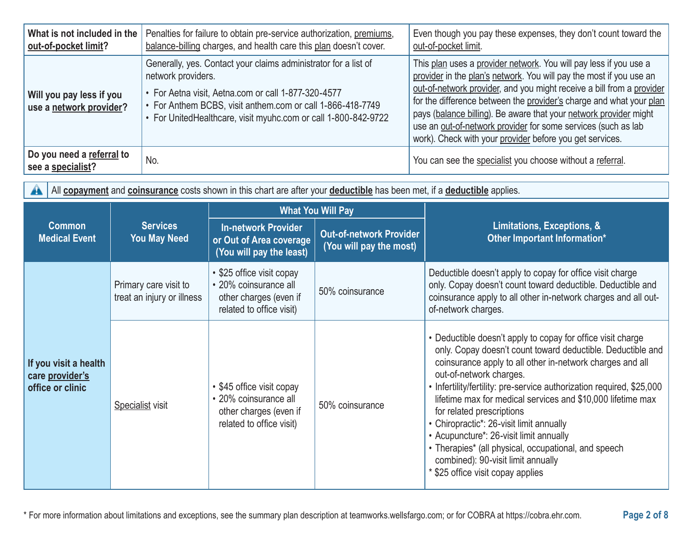| What is not included in the<br>out-of-pocket limit? | Penalties for failure to obtain pre-service authorization, premiums,<br>balance-billing charges, and health care this plan doesn't cover.                                                                                                                                    | Even though you pay these expenses, they don't count toward the<br>out-of-pocket limit.                                                                                                                                                                                                                                                                                                                                                                                                    |
|-----------------------------------------------------|------------------------------------------------------------------------------------------------------------------------------------------------------------------------------------------------------------------------------------------------------------------------------|--------------------------------------------------------------------------------------------------------------------------------------------------------------------------------------------------------------------------------------------------------------------------------------------------------------------------------------------------------------------------------------------------------------------------------------------------------------------------------------------|
| Will you pay less if you<br>use a network provider? | Generally, yes. Contact your claims administrator for a list of<br>network providers.<br>• For Aetna visit, Aetna.com or call 1-877-320-4577<br>• For Anthem BCBS, visit anthem.com or call 1-866-418-7749<br>• For UnitedHealthcare, visit myuhc.com or call 1-800-842-9722 | This plan uses a provider network. You will pay less if you use a<br>provider in the plan's network. You will pay the most if you use an<br>out-of-network provider, and you might receive a bill from a provider<br>for the difference between the provider's charge and what your plan<br>pays (balance billing). Be aware that your network provider might<br>use an out-of-network provider for some services (such as lab<br>work). Check with your provider before you get services. |
| Do you need a referral to<br>see a specialist?      | No.                                                                                                                                                                                                                                                                          | You can see the specialist you choose without a referral.                                                                                                                                                                                                                                                                                                                                                                                                                                  |

All **copayment** and **coinsurance** costs shown in this chart are after your **deductible** has been met, if a **deductible** applies.  $\blacktriangle$ 

|                                                              | <b>Services</b><br><b>You May Need</b>              |                                                                                                          | <b>What You Will Pay</b>                                  |                                                                                                                                                                                                                                                                                                                                                                                                                                                                                                                                                                                                                   |  |
|--------------------------------------------------------------|-----------------------------------------------------|----------------------------------------------------------------------------------------------------------|-----------------------------------------------------------|-------------------------------------------------------------------------------------------------------------------------------------------------------------------------------------------------------------------------------------------------------------------------------------------------------------------------------------------------------------------------------------------------------------------------------------------------------------------------------------------------------------------------------------------------------------------------------------------------------------------|--|
| <b>Common</b><br><b>Medical Event</b>                        |                                                     | <b>In-network Provider</b><br>or Out of Area coverage<br>(You will pay the least)                        | <b>Out-of-network Provider</b><br>(You will pay the most) | Limitations, Exceptions, &<br>Other Important Information*                                                                                                                                                                                                                                                                                                                                                                                                                                                                                                                                                        |  |
|                                                              | Primary care visit to<br>treat an injury or illness | • \$25 office visit copay<br>· 20% coinsurance all<br>other charges (even if<br>related to office visit) | 50% coinsurance                                           | Deductible doesn't apply to copay for office visit charge<br>only. Copay doesn't count toward deductible. Deductible and<br>coinsurance apply to all other in-network charges and all out-<br>of-network charges.                                                                                                                                                                                                                                                                                                                                                                                                 |  |
| If you visit a health<br>care provider's<br>office or clinic | Specialist visit                                    | • \$45 office visit copay<br>· 20% coinsurance all<br>other charges (even if<br>related to office visit) | 50% coinsurance                                           | • Deductible doesn't apply to copay for office visit charge<br>only. Copay doesn't count toward deductible. Deductible and<br>coinsurance apply to all other in-network charges and all<br>out-of-network charges.<br>• Infertility/fertility: pre-service authorization required, \$25,000<br>lifetime max for medical services and \$10,000 lifetime max<br>for related prescriptions<br>• Chiropractic*: 26-visit limit annually<br>• Acupuncture*: 26-visit limit annually<br>• Therapies* (all physical, occupational, and speech<br>combined): 90-visit limit annually<br>* \$25 office visit copay applies |  |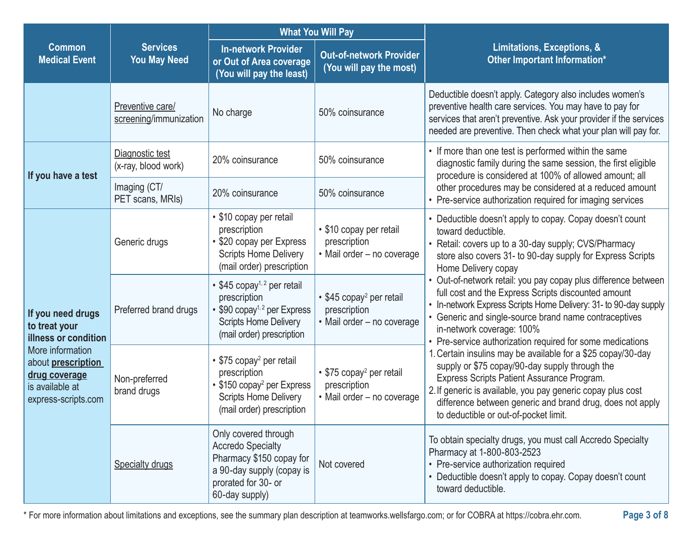|                                                                                                                                                                 |                                            |                                                                                                                                                                  | <b>What You Will Pay</b>                                                           |                                                                                                                                                                                                                                                                                                                                              |  |
|-----------------------------------------------------------------------------------------------------------------------------------------------------------------|--------------------------------------------|------------------------------------------------------------------------------------------------------------------------------------------------------------------|------------------------------------------------------------------------------------|----------------------------------------------------------------------------------------------------------------------------------------------------------------------------------------------------------------------------------------------------------------------------------------------------------------------------------------------|--|
| <b>Common</b><br><b>Medical Event</b>                                                                                                                           | <b>Services</b><br><b>You May Need</b>     | <b>In-network Provider</b><br>or Out of Area coverage<br>(You will pay the least)                                                                                | <b>Out-of-network Provider</b><br>(You will pay the most)                          | Limitations, Exceptions, &<br>Other Important Information*                                                                                                                                                                                                                                                                                   |  |
|                                                                                                                                                                 | Preventive care/<br>screening/immunization | No charge                                                                                                                                                        | 50% coinsurance                                                                    | Deductible doesn't apply. Category also includes women's<br>preventive health care services. You may have to pay for<br>services that aren't preventive. Ask your provider if the services<br>needed are preventive. Then check what your plan will pay for.                                                                                 |  |
| If you have a test                                                                                                                                              | Diagnostic test<br>(x-ray, blood work)     | 20% coinsurance                                                                                                                                                  | 50% coinsurance                                                                    | • If more than one test is performed within the same<br>diagnostic family during the same session, the first eligible<br>procedure is considered at 100% of allowed amount; all                                                                                                                                                              |  |
|                                                                                                                                                                 | Imaging (CT/<br>PET scans, MRIs)           | 20% coinsurance                                                                                                                                                  | 50% coinsurance                                                                    | other procedures may be considered at a reduced amount<br>• Pre-service authorization required for imaging services                                                                                                                                                                                                                          |  |
| If you need drugs<br>to treat your<br>illness or condition<br>More information<br>about prescription<br>drug coverage<br>is available at<br>express-scripts.com | Generic drugs                              | • \$10 copay per retail<br>prescription<br>• \$20 copay per Express<br><b>Scripts Home Delivery</b><br>(mail order) prescription                                 | • \$10 copay per retail<br>prescription<br>· Mail order - no coverage              | • Deductible doesn't apply to copay. Copay doesn't count<br>toward deductible.<br>• Retail: covers up to a 30-day supply; CVS/Pharmacy<br>store also covers 31- to 90-day supply for Express Scripts<br>Home Delivery copay                                                                                                                  |  |
|                                                                                                                                                                 | Preferred brand drugs                      | • \$45 copay <sup>1, 2</sup> per retail<br>prescription<br>• \$90 copay <sup>1, 2</sup> per Express<br><b>Scripts Home Delivery</b><br>(mail order) prescription | • \$45 copay <sup>2</sup> per retail<br>prescription<br>· Mail order - no coverage | • Out-of-network retail: you pay copay plus difference between<br>full cost and the Express Scripts discounted amount<br>• In-network Express Scripts Home Delivery: 31- to 90-day supply<br>• Generic and single-source brand name contraceptives<br>in-network coverage: 100%<br>• Pre-service authorization required for some medications |  |
|                                                                                                                                                                 | Non-preferred<br>brand drugs               | • \$75 copay <sup>2</sup> per retail<br>prescription<br>• \$150 copay <sup>2</sup> per Express<br><b>Scripts Home Delivery</b><br>(mail order) prescription      | • \$75 copay <sup>2</sup> per retail<br>prescription<br>• Mail order - no coverage | 1. Certain insulins may be available for a \$25 copay/30-day<br>supply or \$75 copay/90-day supply through the<br>Express Scripts Patient Assurance Program.<br>2. If generic is available, you pay generic copay plus cost<br>difference between generic and brand drug, does not apply<br>to deductible or out-of-pocket limit.            |  |
|                                                                                                                                                                 | <b>Specialty drugs</b>                     | Only covered through<br><b>Accredo Specialty</b><br>Pharmacy \$150 copay for<br>a 90-day supply (copay is<br>prorated for 30- or<br>60-day supply)               | Not covered                                                                        | To obtain specialty drugs, you must call Accredo Specialty<br>Pharmacy at 1-800-803-2523<br>• Pre-service authorization required<br>• Deductible doesn't apply to copay. Copay doesn't count<br>toward deductible.                                                                                                                           |  |

\* For more information about limitations and exceptions, see the summary plan description at teamworks.wellsfargo.com; or for COBRA at https://cobra.ehr.com. **Page 3 of 8**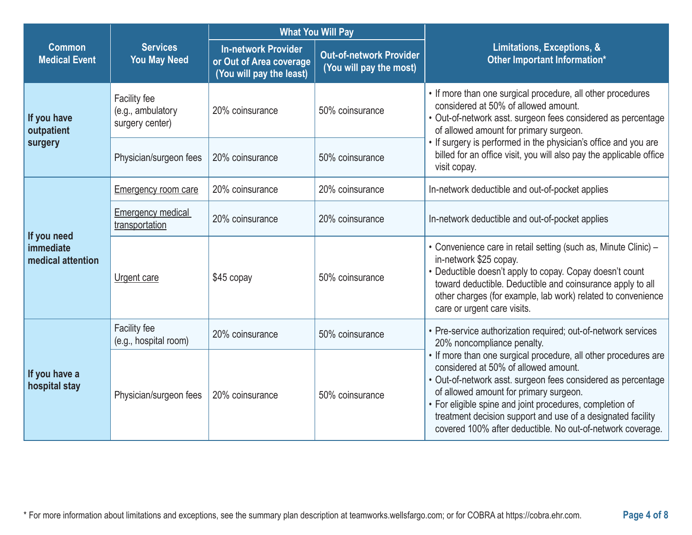|                                               |                                                      |                                                                                   | <b>What You Will Pay</b>                                  |                                                                                                                                                                                                                                                                                                                                                                                                            |  |
|-----------------------------------------------|------------------------------------------------------|-----------------------------------------------------------------------------------|-----------------------------------------------------------|------------------------------------------------------------------------------------------------------------------------------------------------------------------------------------------------------------------------------------------------------------------------------------------------------------------------------------------------------------------------------------------------------------|--|
| <b>Common</b><br><b>Medical Event</b>         | <b>Services</b><br><b>You May Need</b>               | <b>In-network Provider</b><br>or Out of Area coverage<br>(You will pay the least) | <b>Out-of-network Provider</b><br>(You will pay the most) | Limitations, Exceptions, &<br>Other Important Information*                                                                                                                                                                                                                                                                                                                                                 |  |
| If you have<br>outpatient<br>surgery          | Facility fee<br>(e.g., ambulatory<br>surgery center) | 20% coinsurance                                                                   | 50% coinsurance                                           | • If more than one surgical procedure, all other procedures<br>considered at 50% of allowed amount.<br>• Out-of-network asst. surgeon fees considered as percentage<br>of allowed amount for primary surgeon.                                                                                                                                                                                              |  |
|                                               | Physician/surgeon fees                               | 20% coinsurance                                                                   | 50% coinsurance                                           | • If surgery is performed in the physician's office and you are<br>billed for an office visit, you will also pay the applicable office<br>visit copay.                                                                                                                                                                                                                                                     |  |
|                                               | <b>Emergency room care</b>                           | 20% coinsurance                                                                   | 20% coinsurance                                           | In-network deductible and out-of-pocket applies                                                                                                                                                                                                                                                                                                                                                            |  |
|                                               | <b>Emergency medical</b><br>transportation           | 20% coinsurance                                                                   | 20% coinsurance                                           | In-network deductible and out-of-pocket applies                                                                                                                                                                                                                                                                                                                                                            |  |
| If you need<br>immediate<br>medical attention | Urgent care                                          | \$45 copay                                                                        | 50% coinsurance                                           | • Convenience care in retail setting (such as, Minute Clinic) -<br>in-network \$25 copay.<br>• Deductible doesn't apply to copay. Copay doesn't count<br>toward deductible. Deductible and coinsurance apply to all<br>other charges (for example, lab work) related to convenience<br>care or urgent care visits.                                                                                         |  |
| If you have a<br>hospital stay                | Facility fee<br>(e.g., hospital room)                | 20% coinsurance                                                                   | 50% coinsurance                                           | • Pre-service authorization required; out-of-network services<br>20% noncompliance penalty.                                                                                                                                                                                                                                                                                                                |  |
|                                               | Physician/surgeon fees                               | 20% coinsurance                                                                   | 50% coinsurance                                           | • If more than one surgical procedure, all other procedures are<br>considered at 50% of allowed amount.<br>• Out-of-network asst. surgeon fees considered as percentage<br>of allowed amount for primary surgeon.<br>• For eligible spine and joint procedures, completion of<br>treatment decision support and use of a designated facility<br>covered 100% after deductible. No out-of-network coverage. |  |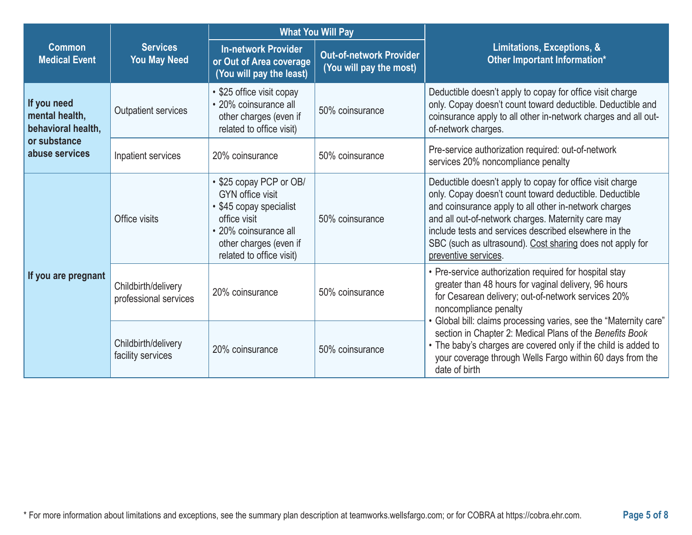|                                                                                       |                                              |                                                                                                                                                                              | <b>What You Will Pay</b>                                  |                                                                                                                                                                                                                                                                                                                                                                                   |  |
|---------------------------------------------------------------------------------------|----------------------------------------------|------------------------------------------------------------------------------------------------------------------------------------------------------------------------------|-----------------------------------------------------------|-----------------------------------------------------------------------------------------------------------------------------------------------------------------------------------------------------------------------------------------------------------------------------------------------------------------------------------------------------------------------------------|--|
| <b>Common</b><br><b>Medical Event</b>                                                 | <b>Services</b><br><b>You May Need</b>       | <b>In-network Provider</b><br>or Out of Area coverage<br>(You will pay the least)                                                                                            | <b>Out-of-network Provider</b><br>(You will pay the most) | Limitations, Exceptions, &<br>Other Important Information*                                                                                                                                                                                                                                                                                                                        |  |
| If you need<br>mental health,<br>behavioral health,<br>or substance<br>abuse services | Outpatient services                          | • \$25 office visit copay<br>• 20% coinsurance all<br>other charges (even if<br>related to office visit)                                                                     | 50% coinsurance                                           | Deductible doesn't apply to copay for office visit charge<br>only. Copay doesn't count toward deductible. Deductible and<br>coinsurance apply to all other in-network charges and all out-<br>of-network charges.                                                                                                                                                                 |  |
|                                                                                       | Inpatient services                           | 20% coinsurance                                                                                                                                                              | 50% coinsurance                                           | Pre-service authorization required: out-of-network<br>services 20% noncompliance penalty                                                                                                                                                                                                                                                                                          |  |
| If you are pregnant                                                                   | Office visits                                | • \$25 copay PCP or OB/<br><b>GYN</b> office visit<br>• \$45 copay specialist<br>office visit<br>• 20% coinsurance all<br>other charges (even if<br>related to office visit) | 50% coinsurance                                           | Deductible doesn't apply to copay for office visit charge<br>only. Copay doesn't count toward deductible. Deductible<br>and coinsurance apply to all other in-network charges<br>and all out-of-network charges. Maternity care may<br>include tests and services described elsewhere in the<br>SBC (such as ultrasound). Cost sharing does not apply for<br>preventive services. |  |
|                                                                                       | Childbirth/delivery<br>professional services | 20% coinsurance                                                                                                                                                              | 50% coinsurance                                           | • Pre-service authorization required for hospital stay<br>greater than 48 hours for vaginal delivery, 96 hours<br>for Cesarean delivery; out-of-network services 20%<br>noncompliance penalty                                                                                                                                                                                     |  |
|                                                                                       | Childbirth/delivery<br>facility services     | 20% coinsurance                                                                                                                                                              | 50% coinsurance                                           | • Global bill: claims processing varies, see the "Maternity care"<br>section in Chapter 2: Medical Plans of the Benefits Book<br>• The baby's charges are covered only if the child is added to<br>your coverage through Wells Fargo within 60 days from the<br>date of birth                                                                                                     |  |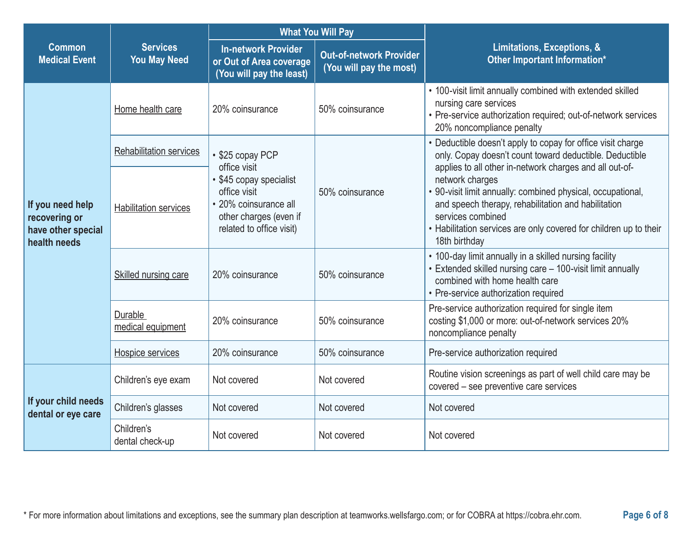|                                                                         |                                        |                                                                                                                        | <b>What You Will Pay</b>                                  |                                                                                                                                                                                                                                                  |  |
|-------------------------------------------------------------------------|----------------------------------------|------------------------------------------------------------------------------------------------------------------------|-----------------------------------------------------------|--------------------------------------------------------------------------------------------------------------------------------------------------------------------------------------------------------------------------------------------------|--|
| <b>Common</b><br><b>Medical Event</b>                                   | <b>Services</b><br><b>You May Need</b> | <b>In-network Provider</b><br>or Out of Area coverage<br>(You will pay the least)                                      | <b>Out-of-network Provider</b><br>(You will pay the most) | Limitations, Exceptions, &<br>Other Important Information*                                                                                                                                                                                       |  |
|                                                                         | Home health care                       | 20% coinsurance                                                                                                        | 50% coinsurance                                           | • 100-visit limit annually combined with extended skilled<br>nursing care services<br>• Pre-service authorization required; out-of-network services<br>20% noncompliance penalty                                                                 |  |
|                                                                         | <b>Rehabilitation services</b>         | • \$25 copay PCP<br>office visit                                                                                       |                                                           | • Deductible doesn't apply to copay for office visit charge<br>only. Copay doesn't count toward deductible. Deductible<br>applies to all other in-network charges and all out-of-                                                                |  |
| If you need help<br>recovering or<br>have other special<br>health needs | <b>Habilitation services</b>           | • \$45 copay specialist<br>office visit<br>• 20% coinsurance all<br>other charges (even if<br>related to office visit) | 50% coinsurance                                           | network charges<br>· 90-visit limit annually: combined physical, occupational,<br>and speech therapy, rehabilitation and habilitation<br>services combined<br>• Habilitation services are only covered for children up to their<br>18th birthday |  |
|                                                                         | Skilled nursing care                   | 20% coinsurance                                                                                                        | 50% coinsurance                                           | • 100-day limit annually in a skilled nursing facility<br>• Extended skilled nursing care - 100-visit limit annually<br>combined with home health care<br>• Pre-service authorization required                                                   |  |
|                                                                         | Durable<br>medical equipment           | 20% coinsurance                                                                                                        | 50% coinsurance                                           | Pre-service authorization required for single item<br>costing \$1,000 or more: out-of-network services 20%<br>noncompliance penalty                                                                                                              |  |
|                                                                         | <b>Hospice services</b>                | 20% coinsurance                                                                                                        | 50% coinsurance                                           | Pre-service authorization required                                                                                                                                                                                                               |  |
| If your child needs<br>dental or eye care                               | Children's eye exam                    | Not covered                                                                                                            | Not covered                                               | Routine vision screenings as part of well child care may be<br>covered - see preventive care services                                                                                                                                            |  |
|                                                                         | Children's glasses                     | Not covered                                                                                                            | Not covered                                               | Not covered                                                                                                                                                                                                                                      |  |
|                                                                         | Children's<br>dental check-up          | Not covered                                                                                                            | Not covered                                               | Not covered                                                                                                                                                                                                                                      |  |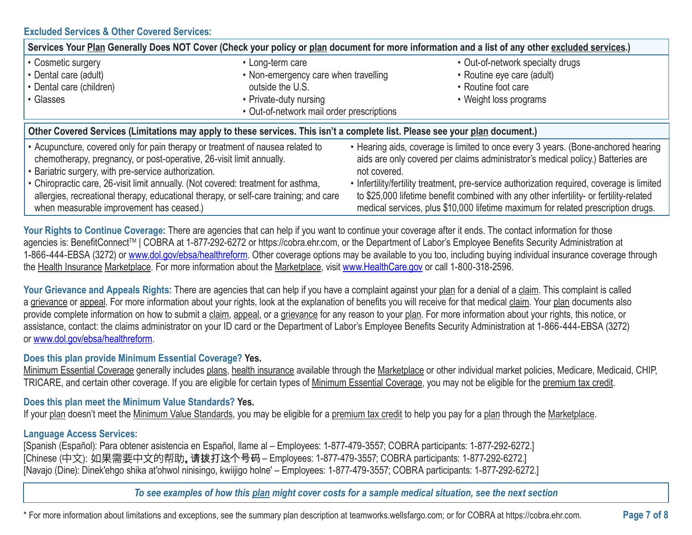### **Excluded Services & Other Covered Services:**

| Services Your Plan Generally Does NOT Cover (Check your policy or plan document for more information and a list of any other excluded services.)                                                                                                                                                    |                                                                                                                              |                                                                                                                                                                                                                                                                                                                                                                              |  |  |  |  |
|-----------------------------------------------------------------------------------------------------------------------------------------------------------------------------------------------------------------------------------------------------------------------------------------------------|------------------------------------------------------------------------------------------------------------------------------|------------------------------------------------------------------------------------------------------------------------------------------------------------------------------------------------------------------------------------------------------------------------------------------------------------------------------------------------------------------------------|--|--|--|--|
| • Cosmetic surgery                                                                                                                                                                                                                                                                                  | • Long-term care                                                                                                             | • Out-of-network specialty drugs                                                                                                                                                                                                                                                                                                                                             |  |  |  |  |
| • Dental care (adult)                                                                                                                                                                                                                                                                               | • Non-emergency care when travelling                                                                                         | • Routine eye care (adult)                                                                                                                                                                                                                                                                                                                                                   |  |  |  |  |
| • Dental care (children)                                                                                                                                                                                                                                                                            | outside the U.S.                                                                                                             | • Routine foot care                                                                                                                                                                                                                                                                                                                                                          |  |  |  |  |
| • Glasses                                                                                                                                                                                                                                                                                           | • Private-duty nursing                                                                                                       | • Weight loss programs                                                                                                                                                                                                                                                                                                                                                       |  |  |  |  |
|                                                                                                                                                                                                                                                                                                     | • Out-of-network mail order prescriptions                                                                                    |                                                                                                                                                                                                                                                                                                                                                                              |  |  |  |  |
|                                                                                                                                                                                                                                                                                                     | Other Covered Services (Limitations may apply to these services. This isn't a complete list. Please see your plan document.) |                                                                                                                                                                                                                                                                                                                                                                              |  |  |  |  |
| • Acupuncture, covered only for pain therapy or treatment of nausea related to<br>chemotherapy, pregnancy, or post-operative, 26-visit limit annually.<br>• Bariatric surgery, with pre-service authorization.<br>• Chiropractic care, 26-visit limit annually. (Not covered: treatment for asthma, |                                                                                                                              | • Hearing aids, coverage is limited to once every 3 years. (Bone-anchored hearing<br>aids are only covered per claims administrator's medical policy.) Batteries are<br>not covered.<br>• Infertility/fertility treatment, pre-service authorization required, coverage is limited<br>to \$25,000 lifetime benefit combined with any other infertility- or fertility-related |  |  |  |  |
| allergies, recreational therapy, educational therapy, or self-care training; and care<br>when measurable improvement has ceased.)                                                                                                                                                                   |                                                                                                                              | medical services, plus \$10,000 lifetime maximum for related prescription drugs.                                                                                                                                                                                                                                                                                             |  |  |  |  |

Your Rights to Continue Coverage: There are agencies that can help if you want to continue your coverage after it ends. The contact information for those agencies is: BenefitConnect™ | COBRA at 1-877-292-6272 or https://cobra.ehr.com, or the Department of Labor's Employee Benefits Security Administration at 1-866-444-EBSA (3272) or www.dol.gov/ebsa/healthreform. Other coverage options may be available to you too, including buying individual insurance coverage through the Health Insurance Marketplace. For more information about the Marketplace, visit www.HealthCare.gov or call 1-800-318-2596.

Your Grievance and Appeals Rights: There are agencies that can help if you have a complaint against your plan for a denial of a claim. This complaint is called a grievance or appeal. For more information about your rights, look at the explanation of benefits you will receive for that medical claim. Your plan documents also provide complete information on how to submit a claim, appeal, or a grievance for any reason to your plan. For more information about your rights, this notice, or assistance, contact: the claims administrator on your ID card or the Department of Labor's Employee Benefits Security Administration at 1-866-444-EBSA (3272) or www.dol.gov/ebsa/healthreform.

#### **Does this plan provide Minimum Essential Coverage? Yes.**

Minimum Essential Coverage generally includes plans, health insurance available through the Marketplace or other individual market policies, Medicare, Medicaid, CHIP, TRICARE, and certain other coverage. If you are eligible for certain types of Minimum Essential Coverage, you may not be eligible for the premium tax credit.

## **Does this plan meet the Minimum Value Standards? Yes.**

If your plan doesn't meet the Minimum Value Standards, you may be eligible for a premium tax credit to help you pay for a plan through the Marketplace.

## **Language Access Services:**

[Spanish (Español): Para obtener asistencia en Español, llame al – Employees: 1-877-479-3557; COBRA participants: 1-877-292-6272.] [Chinese (中文): 如果需要中文的帮助, 请拨打这个号码 – Employees: 1-877-479-3557; COBRA participants: 1-877-292-6272.] [Navajo (Dine): Dinek'ehgo shika at'ohwol ninisingo, kwiijigo holne' – Employees: 1-877-479-3557; COBRA participants: 1-877-292-6272.]

*To see examples of how this plan might cover costs for a sample medical situation, see the next section*